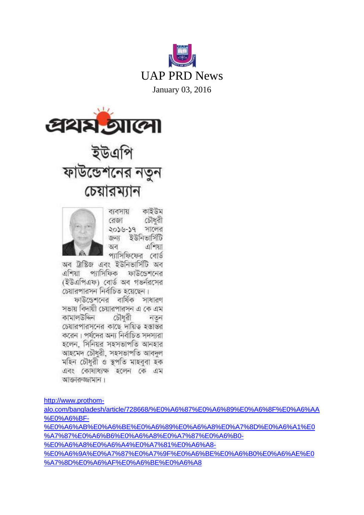



# ইউএপি<br>ফাউন্ডেশনের নতুন চেয়ারম্যান



কাইউম ব্যবসায় রেজা চৌধরী ২০১৬-১৭ সালের জন্য ইউনিভার্সিটি এশিয়া অব প্যাসিফিফের বোর্ড

অব ট্রাস্টিজ এবং ইউনিভার্সিটি অব এশিয়া প্যাসিফিক ফাউন্ডেশনের (ইউএপিএফ) বোর্ড অব গভর্নসের চেয়ারপারসন নির্বাচিত হয়েছেন।

ফাউডেশনের বার্ষিক সাধারণ সভায় বিদায়ী চেয়ারপারসন এ কে এম কামালউদ্দিন চৌধরী নতন চেয়ারপারসনের কাছে দায়িত হস্তান্তর করেন। পর্যদের অন্য নির্বাচিত সদস্যরা হলেন, সিনিয়র সহসভাপতি আনহার আহমেদ চৌধরী, সহসভাপতি আবদল মহিন চৌধরী ও স্তপতি মাহববা হক এবং কোষাধ্যক্ষ হলেন কে এম আক্তাকজ্ঞামান।

[http://www.prothom-](http://www.prothom-alo.com/bangladesh/article/728668/%E0%A6%87%E0%A6%89%E0%A6%8F%E0%A6%AA%E0%A6%BF-%E0%A6%AB%E0%A6%BE%E0%A6%89%E0%A6%A8%E0%A7%8D%E0%A6%A1%E0%A7%87%E0%A6%B6%E0%A6%A8%E0%A7%87%E0%A6%B0-%E0%A6%A8%E0%A6%A4%E0%A7%81%E0%A6%A8-%E0%A6%9A%E0%A7%87%E0%A7%9F%E0%A6%BE%E0%A6%B0%E0%A6%AE%E0%A7%8D%E0%A6%AF%E0%A6%BE%E0%A6%A8)

[alo.com/bangladesh/article/728668/%E0%A6%87%E0%A6%89%E0%A6%8F%E0%A6%AA](http://www.prothom-alo.com/bangladesh/article/728668/%E0%A6%87%E0%A6%89%E0%A6%8F%E0%A6%AA%E0%A6%BF-%E0%A6%AB%E0%A6%BE%E0%A6%89%E0%A6%A8%E0%A7%8D%E0%A6%A1%E0%A7%87%E0%A6%B6%E0%A6%A8%E0%A7%87%E0%A6%B0-%E0%A6%A8%E0%A6%A4%E0%A7%81%E0%A6%A8-%E0%A6%9A%E0%A7%87%E0%A7%9F%E0%A6%BE%E0%A6%B0%E0%A6%AE%E0%A7%8D%E0%A6%AF%E0%A6%BE%E0%A6%A8) [%E0%A6%BF-](http://www.prothom-alo.com/bangladesh/article/728668/%E0%A6%87%E0%A6%89%E0%A6%8F%E0%A6%AA%E0%A6%BF-%E0%A6%AB%E0%A6%BE%E0%A6%89%E0%A6%A8%E0%A7%8D%E0%A6%A1%E0%A7%87%E0%A6%B6%E0%A6%A8%E0%A7%87%E0%A6%B0-%E0%A6%A8%E0%A6%A4%E0%A7%81%E0%A6%A8-%E0%A6%9A%E0%A7%87%E0%A7%9F%E0%A6%BE%E0%A6%B0%E0%A6%AE%E0%A7%8D%E0%A6%AF%E0%A6%BE%E0%A6%A8) [%E0%A6%AB%E0%A6%BE%E0%A6%89%E0%A6%A8%E0%A7%8D%E0%A6%A1%E0](http://www.prothom-alo.com/bangladesh/article/728668/%E0%A6%87%E0%A6%89%E0%A6%8F%E0%A6%AA%E0%A6%BF-%E0%A6%AB%E0%A6%BE%E0%A6%89%E0%A6%A8%E0%A7%8D%E0%A6%A1%E0%A7%87%E0%A6%B6%E0%A6%A8%E0%A7%87%E0%A6%B0-%E0%A6%A8%E0%A6%A4%E0%A7%81%E0%A6%A8-%E0%A6%9A%E0%A7%87%E0%A7%9F%E0%A6%BE%E0%A6%B0%E0%A6%AE%E0%A7%8D%E0%A6%AF%E0%A6%BE%E0%A6%A8) [%A7%87%E0%A6%B6%E0%A6%A8%E0%A7%87%E0%A6%B0-](http://www.prothom-alo.com/bangladesh/article/728668/%E0%A6%87%E0%A6%89%E0%A6%8F%E0%A6%AA%E0%A6%BF-%E0%A6%AB%E0%A6%BE%E0%A6%89%E0%A6%A8%E0%A7%8D%E0%A6%A1%E0%A7%87%E0%A6%B6%E0%A6%A8%E0%A7%87%E0%A6%B0-%E0%A6%A8%E0%A6%A4%E0%A7%81%E0%A6%A8-%E0%A6%9A%E0%A7%87%E0%A7%9F%E0%A6%BE%E0%A6%B0%E0%A6%AE%E0%A7%8D%E0%A6%AF%E0%A6%BE%E0%A6%A8) [%E0%A6%A8%E0%A6%A4%E0%A7%81%E0%A6%A8-](http://www.prothom-alo.com/bangladesh/article/728668/%E0%A6%87%E0%A6%89%E0%A6%8F%E0%A6%AA%E0%A6%BF-%E0%A6%AB%E0%A6%BE%E0%A6%89%E0%A6%A8%E0%A7%8D%E0%A6%A1%E0%A7%87%E0%A6%B6%E0%A6%A8%E0%A7%87%E0%A6%B0-%E0%A6%A8%E0%A6%A4%E0%A7%81%E0%A6%A8-%E0%A6%9A%E0%A7%87%E0%A7%9F%E0%A6%BE%E0%A6%B0%E0%A6%AE%E0%A7%8D%E0%A6%AF%E0%A6%BE%E0%A6%A8) [%E0%A6%9A%E0%A7%87%E0%A7%9F%E0%A6%BE%E0%A6%B0%E0%A6%AE%E0](http://www.prothom-alo.com/bangladesh/article/728668/%E0%A6%87%E0%A6%89%E0%A6%8F%E0%A6%AA%E0%A6%BF-%E0%A6%AB%E0%A6%BE%E0%A6%89%E0%A6%A8%E0%A7%8D%E0%A6%A1%E0%A7%87%E0%A6%B6%E0%A6%A8%E0%A7%87%E0%A6%B0-%E0%A6%A8%E0%A6%A4%E0%A7%81%E0%A6%A8-%E0%A6%9A%E0%A7%87%E0%A7%9F%E0%A6%BE%E0%A6%B0%E0%A6%AE%E0%A7%8D%E0%A6%AF%E0%A6%BE%E0%A6%A8)

[%A7%8D%E0%A6%AF%E0%A6%BE%E0%A6%A8](http://www.prothom-alo.com/bangladesh/article/728668/%E0%A6%87%E0%A6%89%E0%A6%8F%E0%A6%AA%E0%A6%BF-%E0%A6%AB%E0%A6%BE%E0%A6%89%E0%A6%A8%E0%A7%8D%E0%A6%A1%E0%A7%87%E0%A6%B6%E0%A6%A8%E0%A7%87%E0%A6%B0-%E0%A6%A8%E0%A6%A4%E0%A7%81%E0%A6%A8-%E0%A6%9A%E0%A7%87%E0%A7%9F%E0%A6%BE%E0%A6%B0%E0%A6%AE%E0%A7%8D%E0%A6%AF%E0%A6%BE%E0%A6%A8)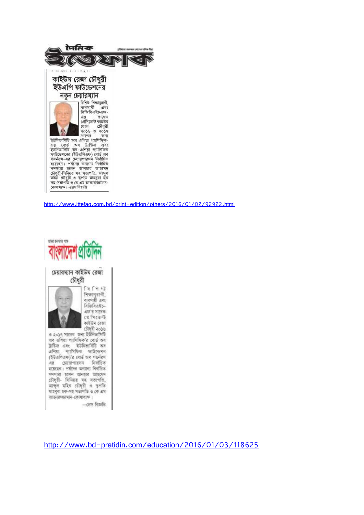

<http://www.ittefaq.com.bd/print-edition/others/2016/01/02/92922.html>



<http://www.bd-pratidin.com/education/2016/01/03/118625>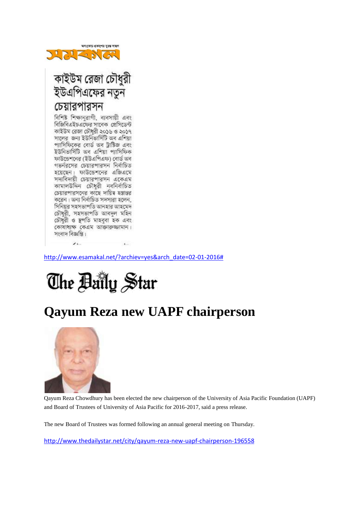

### কাইউম রেজা চৌধুরী ইউএপিএফের নতুন চেয়ারপারসন বিশিষ্ট শিক্ষানুৱাগী, ব্যবসায়ী এবং

বিজিবিএইচএফের সাবেক প্রেসিডেন্ট কাইউম রেজা চৌধুরী ২০১৬ ও ২০১৭ সালের জন্য ইউনিভার্সিটি অব এশিয়া প্যাসিফিকের বোর্ড অব ট্রাষ্টিজ এবং ইউনিভার্সিটি অব এশিয়া প্যাসিফিক ফাউন্ডেশনের (ইউএপিএফ) বোর্ড অব গভর্নরসের চেয়ারপারসন নির্বাচিত হয়েছেন। ফাউডেশনের এজিএমে সদ্যবিদায়ী চেয়ারপারসন একেএম কামালউদ্দিন চৌধুরী নবনির্বাচিত চেয়ারপারসনের কাছে দায়িত্ব হস্তান্তর করেন। অন্য নির্বাচিত সদস্যরা হলেন, সিনিয়র সহসভাপতি আনহার আহমেদ চৌধুরী, সহসভাপতি আবদুল মহিন চৌধুরী ও স্থপতি মাহবুবা হক এবং কোষাধ্যক্ষ কেএম আক্তারুজনমান। সংবাদ বিজ্ঞপ্তি।

[http://www.esamakal.net/?archiev=yes&arch\\_date=02-01-2016#](http://www.esamakal.net/?archiev=yes&arch_date=02-01-2016)



# **Qayum Reza new UAPF chairperson**



 $\overline{\mathbf{r}}$ 

Qayum Reza Chowdhury has been elected the new chairperson of the University of Asia Pacific Foundation (UAPF) and Board of Trustees of University of Asia Pacific for 2016-2017, said a press release.

The new Board of Trustees was formed following an annual general meeting on Thursday.

<http://www.thedailystar.net/city/qayum-reza-new-uapf-chairperson-196558>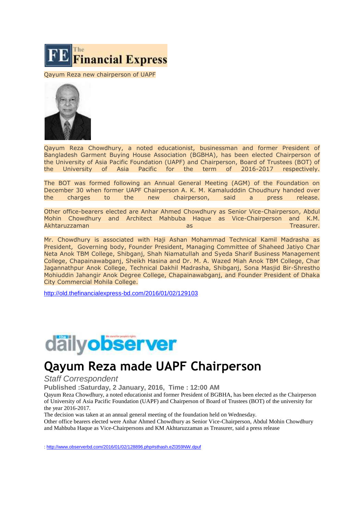

Qayum Reza new chairperson of UAPF



Qayum Reza Chowdhury, a noted educationist, businessman and former President of Bangladesh Garment Buying House Association (BGBHA), has been elected Chairperson of the University of Asia Pacific Foundation (UAPF) and Chairperson, Board of Trustees (BOT) of the University of Asia Pacific for the term of 2016-2017 respectively.

The BOT was formed following an Annual General Meeting (AGM) of the Foundation on December 30 when former UAPF Chairperson A. K. M. Kamaludddin Choudhury handed over the charges to the new chairperson, said a press release.

Other office-bearers elected are Anhar Ahmed Chowdhury as Senior Vice-Chairperson, Abdul Mohin Chowdhury and Architect Mahbuba Haque as Vice-Chairperson and K.M. Akhtaruzzaman as Treasurer.

Mr. Chowdhury is associated with Haji Ashan Mohammad Technical Kamil Madrasha as President, Governing body, Founder President, Managing Committee of Shaheed Jatiyo Char Neta Anok TBM College, Shibganj, Shah Niamatullah and Syeda Sharif Business Management College, Chapainawabganj, Sheikh Hasina and Dr. M. A. Wazed Miah Anok TBM College, Char Jagannathpur Anok College, Technical Dakhil Madrasha, Shibganj, Sona Masjid Bir-Shrestho Mohiuddin Jahangir Anok Degree College, Chapainawabganj, and Founder President of Dhaka City Commercial Mohila College.

<http://old.thefinancialexpress-bd.com/2016/01/02/129103>



## **Qayum Reza made UAPF Chairperson**

#### *Staff Correspondent*

Published :Saturday, 2 January, 2016, Time : 12:00 AM

Qayum Reza Chowdhury, a noted educationist and former President of BGBHA, has been elected as the Chairperson of University of Asia Pacific Foundation (UAPF) and Chairperson of Board of Trustees (BOT) of the university for the year 2016-2017.

The decision was taken at an annual general meeting of the foundation held on Wednesday.

Other office bearers elected were Anhar Ahmed Chowdhury as Senior Vice-Chairperson, Abdul Mohin Chowdhury and Mahbuba Haque as Vice-Chairpersons and KM Akhtaruzzaman as Treasurer, said a press release

[: http://www.observerbd.com/2016/01/02/128896.php#sthash.eZl359NW.dpuf](http://www.observerbd.com/2016/01/02/128896.php#sthash.eZl359NW.dpuf)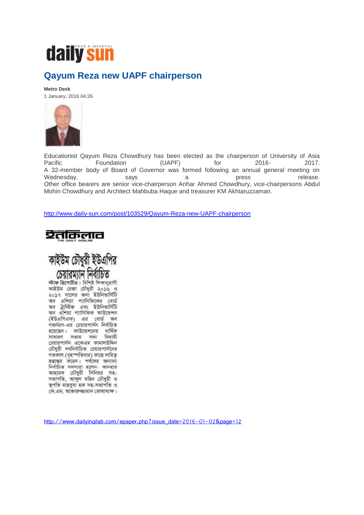

#### **Qayum Reza new UAPF chairperson**

**Metro Desk**

1 January, 2016 04:26



Educationist Qayum Reza Chowdhury has been elected as the chairperson of University of Asia Pacific **Foundation** (UAPF) for 2016- 2017. A 32-member body of Board of Governor was formed following an annual general meeting on Wednesday, says a a press release. Other office bearers are senior vice-chairperson Anhar Ahmed Chowdhury, vice-chairpersons Abdul Mohin Chowdhury and Architect Mahbuba Haque and treasurer KM Akhtaruzzaman.

<http://www.daily-sun.com/post/103529/Qayum-Reza-new-UAPF-chairperson>





স্টাফ রিপোর্টার : বিশিষ্ট শিক্ষানুরাগী কাইউম রেজা চৌধুরী ২০১৬ ও ২০১৭ সালের জন্য ইউনিভার্সিটি অব এশিয়া প্যাসিফিকের বোর্ড অব ট্রাস্টিজ এবং ইউনিভার্সিটি অব এশিয়া প্যাসিফিক ফাউন্ডেশন (ইউএপিএফ) এর বোর্ড ভাব গভৰ্নরস-এর চেয়ারপার্সন নির্বাচিত হয়েছেন। ফাউন্ডেশনের বার্ষিক সাধারণ সভায় সদ্য বিদায়ী চেয়ারপার্সন একেএম কামালউদ্দিন চৌধরী নবনির্বাচিত চেয়ারপার্সনের গতকাল (বৃহস্পতিবার) কাছে দায়িত্ব হস্তান্তর করেন। পর্ষদের অন্যান্য নিৰ্বাচিত সদস্যরা হলেন- আনহার আহমেদ চৌধুরী সিনিয়র সহ-সভাপতি, আব্দুল মহিন চৌধুরী ও স্থপতি মাহবুবা হক সহ-সভাপতি ও কে এম. আক্তারুজ্জামান কোষাধ্যক্ষ।

[http://www.dailyinqilab.com/epaper.php?issue\\_date=2016-01-02&page=12](http://www.dailyinqilab.com/epaper.php?issue_date=2016-01-02&page=12)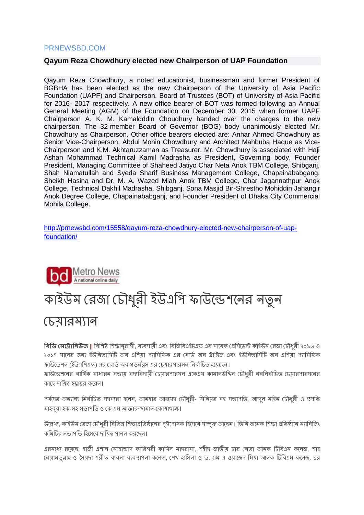#### PRNEWSBD.COM

#### **Qayum Reza Chowdhury elected new Chairperson of UAP Foundation**

Qayum Reza Chowdhury, a noted educationist, businessman and former President of BGBHA has been elected as the new Chairperson of the University of Asia Pacific Foundation (UAPF) and Chairperson, Board of Trustees (BOT) of University of Asia Pacific for 2016- 2017 respectively. A new office bearer of BOT was formed following an Annual General Meeting (AGM) of the Foundation on December 30, 2015 when former UAPF Chairperson A. K. M. Kamaldddin Choudhury handed over the charges to the new chairperson. The 32-member Board of Governor (BOG) body unanimously elected Mr. Chowdhury as Chairperson. Other office bearers elected are: Anhar Ahmed Chowdhury as Senior Vice-Chairperson, Abdul Mohin Chowdhury and Architect Mahbuba Haque as Vice-Chairperson and K.M. Akhtaruzzaman as Treasurer. Mr. Chowdhury is associated with Haji Ashan Mohammad Technical Kamil Madrasha as President, Governing body, Founder President, Managing Committee of Shaheed Jatiyo Char Neta Anok TBM College, Shibganj, Shah Niamatullah and Syeda Sharif Business Management College, Chapainababgang, Sheikh Hasina and Dr. M. A. Wazed Miah Anok TBM College, Char Jagannathpur Anok College, Technical Dakhil Madrasha, Shibganj, Sona Masjid Bir-Shrestho Mohiddin Jahangir Anok Degree College, Chapainababganj, and Founder President of Dhaka City Commercial Mohila College.

[http://prnewsbd.com/15558/qayum-reza-chowdhury-elected-new-chairperson-of-uap](http://prnewsbd.com/15558/qayum-reza-chowdhury-elected-new-chairperson-of-uap-foundation/)[foundation/](http://prnewsbd.com/15558/qayum-reza-chowdhury-elected-new-chairperson-of-uap-foundation/)



# কাইউম রেজা চৌধুরী ইউএপি ফাউন্ডেশনের নতুন

### <u>চেযারম্যান</u>

**বিডি <b>মেট্রোনিউজ** ॥ বিশিষ্ট শিক্ষানরাগী, ব্যবসায়ী এবং বিজিবিএইচএফ এর সাবেক প্রেসিডেন্ট কাইউম রেজা চৌধরী ২০১৬ ও ২০১৭ সালের জন্য ইউনিভার্সিটি অব এশিয়া প্যাসিফিক এর বোর্ড অব ট্রাষ্টিজ এবং ইউনিভার্সিটি অব এশিয়া প্যাসিফিক ফাউন্ডেশন (ইউএপিএফ) এর বোর্ড অব গভর্নরস এর চেয়ারপারসন নির্বাচিত হয়েছেন।

ফাউন্ডেশনের বার্ষিক সাধারন সভায় সদ্যবিদায়ী চেয়ারপারসন একেএম কামালউদ্দিন চৌধরী নবনির্বাচিত চেয়ারপারসনের কান্ডে দ্াপয়ত্ব হস্তান্তে কন্ডেে।

পর্যদের অন্যান্য নির্বাচিত সদস্যরা হলেন, আনহার আহমেদ চৌধুরী- সিনিয়র সহ সভাপতি, আব্দু মহিন চৌধুরী ও স্থপতি মাহবুবা হক-সহ সভাপতি ও কে এম আক্তারুজ্জামান-কোষাধ্যক্ষ।

উল্লেখ্য, কাইউম রেজা চৌধুরী বিভিন্ন শিক্ষাপ্রতিষ্ঠানের পৃষ্টপোষক হিসেবে সম্পৃক্ত আছেন। তিনি অনেক শিক্ষা প্রতিষ্ঠানে ম্যানিজিং কমিটির সভাপতি হিসেবে দায়িত্ব পালন করছেন।

এরমধ্যে রয়েছে, হাজী এশান মোহাম্মাদ কারিগরী কামিল মাদরাসা, শহীদ জাতীয় চার নেতা আনক টিবিএম কলেজ, শাহ নেয়ামতল্লাহ ও সৈয়দা শরীফ ব্যবসা ব্যবস্থাপনা কলেজ, শেখ হাসিনা ও ড. এম এ ওয়াজেদ মিয়া আনক টিবিএম কলেজ, চর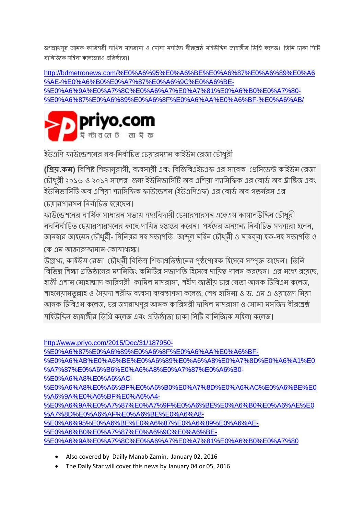জগন্নাখপুর আনক কারিগরী দাখিল মাদরাসা ও সোনা মসজিদ বীরশ্রেষ্ঠ মহিউদ্দিন জাহাঙ্গীর ডিগ্রি কলেজ। তিনি ঢাকা সিটি বানিজ্যিক মহিলা কলেজেরও প্রতিষ্ঠাতা।

[http://bdmetronews.com/%E0%A6%95%E0%A6%BE%E0%A6%87%E0%A6%89%E0%A6](http://bdmetronews.com/%E0%A6%95%E0%A6%BE%E0%A6%87%E0%A6%89%E0%A6%AE-%E0%A6%B0%E0%A7%87%E0%A6%9C%E0%A6%BE-%E0%A6%9A%E0%A7%8C%E0%A6%A7%E0%A7%81%E0%A6%B0%E0%A7%80-%E0%A6%87%E0%A6%89%E0%A6%8F%E0%A6%AA%E0%A6%BF-%E0%A6%AB/) [%AE-%E0%A6%B0%E0%A7%87%E0%A6%9C%E0%A6%BE-](http://bdmetronews.com/%E0%A6%95%E0%A6%BE%E0%A6%87%E0%A6%89%E0%A6%AE-%E0%A6%B0%E0%A7%87%E0%A6%9C%E0%A6%BE-%E0%A6%9A%E0%A7%8C%E0%A6%A7%E0%A7%81%E0%A6%B0%E0%A7%80-%E0%A6%87%E0%A6%89%E0%A6%8F%E0%A6%AA%E0%A6%BF-%E0%A6%AB/) [%E0%A6%9A%E0%A7%8C%E0%A6%A7%E0%A7%81%E0%A6%B0%E0%A7%80-](http://bdmetronews.com/%E0%A6%95%E0%A6%BE%E0%A6%87%E0%A6%89%E0%A6%AE-%E0%A6%B0%E0%A7%87%E0%A6%9C%E0%A6%BE-%E0%A6%9A%E0%A7%8C%E0%A6%A7%E0%A7%81%E0%A6%B0%E0%A7%80-%E0%A6%87%E0%A6%89%E0%A6%8F%E0%A6%AA%E0%A6%BF-%E0%A6%AB/) [%E0%A6%87%E0%A6%89%E0%A6%8F%E0%A6%AA%E0%A6%BF-%E0%A6%AB/](http://bdmetronews.com/%E0%A6%95%E0%A6%BE%E0%A6%87%E0%A6%89%E0%A6%AE-%E0%A6%B0%E0%A7%87%E0%A6%9C%E0%A6%BE-%E0%A6%9A%E0%A7%8C%E0%A6%A7%E0%A7%81%E0%A6%B0%E0%A7%80-%E0%A6%87%E0%A6%89%E0%A6%8F%E0%A6%AA%E0%A6%BF-%E0%A6%AB/)



ইউএপি ফাউন্ডেশনের নব-নির্বাচিত চেয়ারম্যান কাইউম রেজা চৌধুরী

**(বিয়.কে)** পিপশষ্ট পশক্ষােুোগী, িযিসায়ী এিং পিপজপিএই এফ এে সান্ডিক রেপসন্ডেন্ট কাইউম রেজা টোধুরী ২০১৬ ও ২০১৭ সালের জন্য ইউনিভার্সিটি অব এশিয়া প্যাসিফিক এর বোর্ড অব ট্রাষ্টিজ এবং ইউনিভার্সিটি অব এশিয়া প্যাসিফিক ফাউন্ডেশন (ইউএপিএফ) এর বোর্ড অব গভর্নরস এর

চেয়ারপারসন নির্বাচিত হয়েছেন।

ফাউন্ডেশনের বার্ষিক সাধারন সভায় সদ্যবিদায়ী চেয়ারপারসন একেএম কামালউদ্দিন চৌধুরী ন্দ্রন্দিতিত চেমারপারসন্দের কাছে দামিত্ব হস্তান্তর করেন। পর্যদের অন্যান্য নির্বাচিত সদস্যরা হলেন, আনহার আহমেদ চৌধুরী- সিনিয়র সহ সভাপতি, আব্দুল মহিন চৌধুরী ও মাহবুবা হক-সহ সভাপতি ও

রক এম আক্তারুজ্জামাে-রকাষাধযক্ষ।

উল্লেখ্য, কাইউম রেজা চৌধুরী বিভিন্ন শিক্ষাপ্রতিষ্ঠানের পৃষ্ঠপোষক হিসেবে সম্পৃক্ত আছেন। তিনি বিভিন্ন শিক্ষা প্রতিষ্ঠানের ম্যানিজিং কমিটির সভাপতি হিসেবে দাযিত্ব পালন করছেন। এর মধ্যে রযেছে, হাজী এশান মোহাম্মাদ কারিগরী কামিল মাদরাসা, শহীদ জাতীয় চার নেতা আনক টিবিএম কলেজ, শাহনেয়ামতুল্লাহ ও সৈয়দা শরীফ ব্যবসা ব্যবস্থাপনা কলেজ, শেখ হাসিনা ও ড. এম এ ওয়াজেদ মিয়া আনক টিবিএম কলেজ, চর জগন্নাথপুর আনক কারিগরী দাখিল মাদরাসা ও সোনা মসজিদ বীরশ্রেষ্ঠ মহিউদ্দিন জাহাঙ্গীর ডিগ্রি কলেজ এবং প্রতিষ্ঠাতা ঢাকা সিটি বানিজ্যিক মহিলা কলেজ।

[http://www.priyo.com/2015/Dec/31/187950-](http://www.priyo.com/2015/Dec/31/187950-%E0%A6%87%E0%A6%89%E0%A6%8F%E0%A6%AA%E0%A6%BF-%E0%A6%AB%E0%A6%BE%E0%A6%89%E0%A6%A8%E0%A7%8D%E0%A6%A1%E0%A7%87%E0%A6%B6%E0%A6%A8%E0%A7%87%E0%A6%B0-%E0%A6%A8%E0%A6%AC-%E0%A6%A8%E0%A6%BF%E0%A6%B0%E0%A7%8D%E0%A6%AC%E0%A6%BE%E0%A6%9A%E0%A6%BF%E0%A6%A4-%E0%A6%9A%E0%A7%87%E0%A7%9F%E0%A6%BE%E0%A6%B0%E0%A6%AE%E0%A7%8D%E0%A6%AF%E0%A6%BE%E0%A6%A8-%E0%A6%95%E0%A6%BE%E0%A6%87%E0%A6%89%E0%A6%AE-%E0%A6%B0%E0%A7%87%E0%A6%9C%E0%A6%BE-%E0%A6%9A%E0%A7%8C%E0%A6%A7%E0%A7%81%E0%A6%B0%E0%A7%80)

[%E0%A6%87%E0%A6%89%E0%A6%8F%E0%A6%AA%E0%A6%BF-](http://www.priyo.com/2015/Dec/31/187950-%E0%A6%87%E0%A6%89%E0%A6%8F%E0%A6%AA%E0%A6%BF-%E0%A6%AB%E0%A6%BE%E0%A6%89%E0%A6%A8%E0%A7%8D%E0%A6%A1%E0%A7%87%E0%A6%B6%E0%A6%A8%E0%A7%87%E0%A6%B0-%E0%A6%A8%E0%A6%AC-%E0%A6%A8%E0%A6%BF%E0%A6%B0%E0%A7%8D%E0%A6%AC%E0%A6%BE%E0%A6%9A%E0%A6%BF%E0%A6%A4-%E0%A6%9A%E0%A7%87%E0%A7%9F%E0%A6%BE%E0%A6%B0%E0%A6%AE%E0%A7%8D%E0%A6%AF%E0%A6%BE%E0%A6%A8-%E0%A6%95%E0%A6%BE%E0%A6%87%E0%A6%89%E0%A6%AE-%E0%A6%B0%E0%A7%87%E0%A6%9C%E0%A6%BE-%E0%A6%9A%E0%A7%8C%E0%A6%A7%E0%A7%81%E0%A6%B0%E0%A7%80)

[%E0%A6%AB%E0%A6%BE%E0%A6%89%E0%A6%A8%E0%A7%8D%E0%A6%A1%E0](http://www.priyo.com/2015/Dec/31/187950-%E0%A6%87%E0%A6%89%E0%A6%8F%E0%A6%AA%E0%A6%BF-%E0%A6%AB%E0%A6%BE%E0%A6%89%E0%A6%A8%E0%A7%8D%E0%A6%A1%E0%A7%87%E0%A6%B6%E0%A6%A8%E0%A7%87%E0%A6%B0-%E0%A6%A8%E0%A6%AC-%E0%A6%A8%E0%A6%BF%E0%A6%B0%E0%A7%8D%E0%A6%AC%E0%A6%BE%E0%A6%9A%E0%A6%BF%E0%A6%A4-%E0%A6%9A%E0%A7%87%E0%A7%9F%E0%A6%BE%E0%A6%B0%E0%A6%AE%E0%A7%8D%E0%A6%AF%E0%A6%BE%E0%A6%A8-%E0%A6%95%E0%A6%BE%E0%A6%87%E0%A6%89%E0%A6%AE-%E0%A6%B0%E0%A7%87%E0%A6%9C%E0%A6%BE-%E0%A6%9A%E0%A7%8C%E0%A6%A7%E0%A7%81%E0%A6%B0%E0%A7%80) [%A7%87%E0%A6%B6%E0%A6%A8%E0%A7%87%E0%A6%B0-](http://www.priyo.com/2015/Dec/31/187950-%E0%A6%87%E0%A6%89%E0%A6%8F%E0%A6%AA%E0%A6%BF-%E0%A6%AB%E0%A6%BE%E0%A6%89%E0%A6%A8%E0%A7%8D%E0%A6%A1%E0%A7%87%E0%A6%B6%E0%A6%A8%E0%A7%87%E0%A6%B0-%E0%A6%A8%E0%A6%AC-%E0%A6%A8%E0%A6%BF%E0%A6%B0%E0%A7%8D%E0%A6%AC%E0%A6%BE%E0%A6%9A%E0%A6%BF%E0%A6%A4-%E0%A6%9A%E0%A7%87%E0%A7%9F%E0%A6%BE%E0%A6%B0%E0%A6%AE%E0%A7%8D%E0%A6%AF%E0%A6%BE%E0%A6%A8-%E0%A6%95%E0%A6%BE%E0%A6%87%E0%A6%89%E0%A6%AE-%E0%A6%B0%E0%A7%87%E0%A6%9C%E0%A6%BE-%E0%A6%9A%E0%A7%8C%E0%A6%A7%E0%A7%81%E0%A6%B0%E0%A7%80)

[%E0%A6%A8%E0%A6%AC-](http://www.priyo.com/2015/Dec/31/187950-%E0%A6%87%E0%A6%89%E0%A6%8F%E0%A6%AA%E0%A6%BF-%E0%A6%AB%E0%A6%BE%E0%A6%89%E0%A6%A8%E0%A7%8D%E0%A6%A1%E0%A7%87%E0%A6%B6%E0%A6%A8%E0%A7%87%E0%A6%B0-%E0%A6%A8%E0%A6%AC-%E0%A6%A8%E0%A6%BF%E0%A6%B0%E0%A7%8D%E0%A6%AC%E0%A6%BE%E0%A6%9A%E0%A6%BF%E0%A6%A4-%E0%A6%9A%E0%A7%87%E0%A7%9F%E0%A6%BE%E0%A6%B0%E0%A6%AE%E0%A7%8D%E0%A6%AF%E0%A6%BE%E0%A6%A8-%E0%A6%95%E0%A6%BE%E0%A6%87%E0%A6%89%E0%A6%AE-%E0%A6%B0%E0%A7%87%E0%A6%9C%E0%A6%BE-%E0%A6%9A%E0%A7%8C%E0%A6%A7%E0%A7%81%E0%A6%B0%E0%A7%80)

[%E0%A6%A8%E0%A6%BF%E0%A6%B0%E0%A7%8D%E0%A6%AC%E0%A6%BE%E0](http://www.priyo.com/2015/Dec/31/187950-%E0%A6%87%E0%A6%89%E0%A6%8F%E0%A6%AA%E0%A6%BF-%E0%A6%AB%E0%A6%BE%E0%A6%89%E0%A6%A8%E0%A7%8D%E0%A6%A1%E0%A7%87%E0%A6%B6%E0%A6%A8%E0%A7%87%E0%A6%B0-%E0%A6%A8%E0%A6%AC-%E0%A6%A8%E0%A6%BF%E0%A6%B0%E0%A7%8D%E0%A6%AC%E0%A6%BE%E0%A6%9A%E0%A6%BF%E0%A6%A4-%E0%A6%9A%E0%A7%87%E0%A7%9F%E0%A6%BE%E0%A6%B0%E0%A6%AE%E0%A7%8D%E0%A6%AF%E0%A6%BE%E0%A6%A8-%E0%A6%95%E0%A6%BE%E0%A6%87%E0%A6%89%E0%A6%AE-%E0%A6%B0%E0%A7%87%E0%A6%9C%E0%A6%BE-%E0%A6%9A%E0%A7%8C%E0%A6%A7%E0%A7%81%E0%A6%B0%E0%A7%80) [%A6%9A%E0%A6%BF%E0%A6%A4-](http://www.priyo.com/2015/Dec/31/187950-%E0%A6%87%E0%A6%89%E0%A6%8F%E0%A6%AA%E0%A6%BF-%E0%A6%AB%E0%A6%BE%E0%A6%89%E0%A6%A8%E0%A7%8D%E0%A6%A1%E0%A7%87%E0%A6%B6%E0%A6%A8%E0%A7%87%E0%A6%B0-%E0%A6%A8%E0%A6%AC-%E0%A6%A8%E0%A6%BF%E0%A6%B0%E0%A7%8D%E0%A6%AC%E0%A6%BE%E0%A6%9A%E0%A6%BF%E0%A6%A4-%E0%A6%9A%E0%A7%87%E0%A7%9F%E0%A6%BE%E0%A6%B0%E0%A6%AE%E0%A7%8D%E0%A6%AF%E0%A6%BE%E0%A6%A8-%E0%A6%95%E0%A6%BE%E0%A6%87%E0%A6%89%E0%A6%AE-%E0%A6%B0%E0%A7%87%E0%A6%9C%E0%A6%BE-%E0%A6%9A%E0%A7%8C%E0%A6%A7%E0%A7%81%E0%A6%B0%E0%A7%80)

[%E0%A6%9A%E0%A7%87%E0%A7%9F%E0%A6%BE%E0%A6%B0%E0%A6%AE%E0](http://www.priyo.com/2015/Dec/31/187950-%E0%A6%87%E0%A6%89%E0%A6%8F%E0%A6%AA%E0%A6%BF-%E0%A6%AB%E0%A6%BE%E0%A6%89%E0%A6%A8%E0%A7%8D%E0%A6%A1%E0%A7%87%E0%A6%B6%E0%A6%A8%E0%A7%87%E0%A6%B0-%E0%A6%A8%E0%A6%AC-%E0%A6%A8%E0%A6%BF%E0%A6%B0%E0%A7%8D%E0%A6%AC%E0%A6%BE%E0%A6%9A%E0%A6%BF%E0%A6%A4-%E0%A6%9A%E0%A7%87%E0%A7%9F%E0%A6%BE%E0%A6%B0%E0%A6%AE%E0%A7%8D%E0%A6%AF%E0%A6%BE%E0%A6%A8-%E0%A6%95%E0%A6%BE%E0%A6%87%E0%A6%89%E0%A6%AE-%E0%A6%B0%E0%A7%87%E0%A6%9C%E0%A6%BE-%E0%A6%9A%E0%A7%8C%E0%A6%A7%E0%A7%81%E0%A6%B0%E0%A7%80) [%A7%8D%E0%A6%AF%E0%A6%BE%E0%A6%A8-](http://www.priyo.com/2015/Dec/31/187950-%E0%A6%87%E0%A6%89%E0%A6%8F%E0%A6%AA%E0%A6%BF-%E0%A6%AB%E0%A6%BE%E0%A6%89%E0%A6%A8%E0%A7%8D%E0%A6%A1%E0%A7%87%E0%A6%B6%E0%A6%A8%E0%A7%87%E0%A6%B0-%E0%A6%A8%E0%A6%AC-%E0%A6%A8%E0%A6%BF%E0%A6%B0%E0%A7%8D%E0%A6%AC%E0%A6%BE%E0%A6%9A%E0%A6%BF%E0%A6%A4-%E0%A6%9A%E0%A7%87%E0%A7%9F%E0%A6%BE%E0%A6%B0%E0%A6%AE%E0%A7%8D%E0%A6%AF%E0%A6%BE%E0%A6%A8-%E0%A6%95%E0%A6%BE%E0%A6%87%E0%A6%89%E0%A6%AE-%E0%A6%B0%E0%A7%87%E0%A6%9C%E0%A6%BE-%E0%A6%9A%E0%A7%8C%E0%A6%A7%E0%A7%81%E0%A6%B0%E0%A7%80)

[%E0%A6%95%E0%A6%BE%E0%A6%87%E0%A6%89%E0%A6%AE-](http://www.priyo.com/2015/Dec/31/187950-%E0%A6%87%E0%A6%89%E0%A6%8F%E0%A6%AA%E0%A6%BF-%E0%A6%AB%E0%A6%BE%E0%A6%89%E0%A6%A8%E0%A7%8D%E0%A6%A1%E0%A7%87%E0%A6%B6%E0%A6%A8%E0%A7%87%E0%A6%B0-%E0%A6%A8%E0%A6%AC-%E0%A6%A8%E0%A6%BF%E0%A6%B0%E0%A7%8D%E0%A6%AC%E0%A6%BE%E0%A6%9A%E0%A6%BF%E0%A6%A4-%E0%A6%9A%E0%A7%87%E0%A7%9F%E0%A6%BE%E0%A6%B0%E0%A6%AE%E0%A7%8D%E0%A6%AF%E0%A6%BE%E0%A6%A8-%E0%A6%95%E0%A6%BE%E0%A6%87%E0%A6%89%E0%A6%AE-%E0%A6%B0%E0%A7%87%E0%A6%9C%E0%A6%BE-%E0%A6%9A%E0%A7%8C%E0%A6%A7%E0%A7%81%E0%A6%B0%E0%A7%80)

[%E0%A6%B0%E0%A7%87%E0%A6%9C%E0%A6%BE-](http://www.priyo.com/2015/Dec/31/187950-%E0%A6%87%E0%A6%89%E0%A6%8F%E0%A6%AA%E0%A6%BF-%E0%A6%AB%E0%A6%BE%E0%A6%89%E0%A6%A8%E0%A7%8D%E0%A6%A1%E0%A7%87%E0%A6%B6%E0%A6%A8%E0%A7%87%E0%A6%B0-%E0%A6%A8%E0%A6%AC-%E0%A6%A8%E0%A6%BF%E0%A6%B0%E0%A7%8D%E0%A6%AC%E0%A6%BE%E0%A6%9A%E0%A6%BF%E0%A6%A4-%E0%A6%9A%E0%A7%87%E0%A7%9F%E0%A6%BE%E0%A6%B0%E0%A6%AE%E0%A7%8D%E0%A6%AF%E0%A6%BE%E0%A6%A8-%E0%A6%95%E0%A6%BE%E0%A6%87%E0%A6%89%E0%A6%AE-%E0%A6%B0%E0%A7%87%E0%A6%9C%E0%A6%BE-%E0%A6%9A%E0%A7%8C%E0%A6%A7%E0%A7%81%E0%A6%B0%E0%A7%80)

[%E0%A6%9A%E0%A7%8C%E0%A6%A7%E0%A7%81%E0%A6%B0%E0%A7%80](http://www.priyo.com/2015/Dec/31/187950-%E0%A6%87%E0%A6%89%E0%A6%8F%E0%A6%AA%E0%A6%BF-%E0%A6%AB%E0%A6%BE%E0%A6%89%E0%A6%A8%E0%A7%8D%E0%A6%A1%E0%A7%87%E0%A6%B6%E0%A6%A8%E0%A7%87%E0%A6%B0-%E0%A6%A8%E0%A6%AC-%E0%A6%A8%E0%A6%BF%E0%A6%B0%E0%A7%8D%E0%A6%AC%E0%A6%BE%E0%A6%9A%E0%A6%BF%E0%A6%A4-%E0%A6%9A%E0%A7%87%E0%A7%9F%E0%A6%BE%E0%A6%B0%E0%A6%AE%E0%A7%8D%E0%A6%AF%E0%A6%BE%E0%A6%A8-%E0%A6%95%E0%A6%BE%E0%A6%87%E0%A6%89%E0%A6%AE-%E0%A6%B0%E0%A7%87%E0%A6%9C%E0%A6%BE-%E0%A6%9A%E0%A7%8C%E0%A6%A7%E0%A7%81%E0%A6%B0%E0%A7%80)

- Also covered by Dailly Manab Zamin, January 02, 2016
- The Daily Star will cover this news by January 04 or 05, 2016